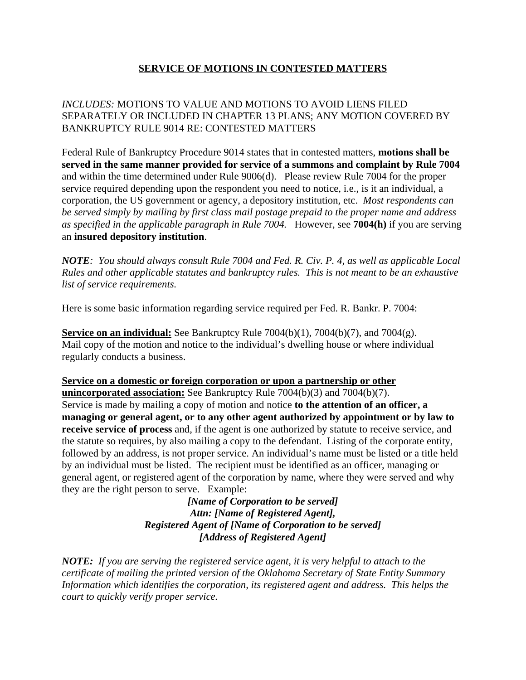## **SERVICE OF MOTIONS IN CONTESTED MATTERS**

## *INCLUDES:* MOTIONS TO VALUE AND MOTIONS TO AVOID LIENS FILED SEPARATELY OR INCLUDED IN CHAPTER 13 PLANS; ANY MOTION COVERED BY BANKRUPTCY RULE 9014 RE: CONTESTED MATTERS

Federal Rule of Bankruptcy Procedure 9014 states that in contested matters, **motions shall be served in the same manner provided for service of a summons and complaint by Rule 7004** and within the time determined under Rule 9006(d). Please review Rule 7004 for the proper service required depending upon the respondent you need to notice, i.e., is it an individual, a corporation, the US government or agency, a depository institution, etc. *Most respondents can be served simply by mailing by first class mail postage prepaid to the proper name and address as specified in the applicable paragraph in Rule 7004.* However, see **7004(h)** if you are serving an **insured depository institution**.

*NOTE: You should always consult Rule 7004 and Fed. R. Civ. P. 4, as well as applicable Local Rules and other applicable statutes and bankruptcy rules. This is not meant to be an exhaustive list of service requirements.*

Here is some basic information regarding service required per Fed. R. Bankr. P. 7004:

**Service on an individual:** See Bankruptcy Rule  $7004(b)(1)$ ,  $7004(b)(7)$ , and  $7004(g)$ . Mail copy of the motion and notice to the individual's dwelling house or where individual regularly conducts a business.

**Service on a domestic or foreign corporation or upon a partnership or other unincorporated association:** See Bankruptcy Rule 7004(b)(3) and 7004(b)(7). Service is made by mailing a copy of motion and notice **to the attention of an officer, a managing or general agent, or to any other agent authorized by appointment or by law to receive service of process** and, if the agent is one authorized by statute to receive service, and the statute so requires, by also mailing a copy to the defendant. Listing of the corporate entity, followed by an address, is not proper service. An individual's name must be listed or a title held by an individual must be listed. The recipient must be identified as an officer, managing or general agent, or registered agent of the corporation by name, where they were served and why they are the right person to serve. Example:

> *[Name of Corporation to be served] Attn: [Name of Registered Agent], Registered Agent of [Name of Corporation to be served] [Address of Registered Agent]*

*NOTE: If you are serving the registered service agent, it is very helpful to attach to the certificate of mailing the printed version of the Oklahoma Secretary of State Entity Summary Information which identifies the corporation, its registered agent and address. This helps the court to quickly verify proper service.*